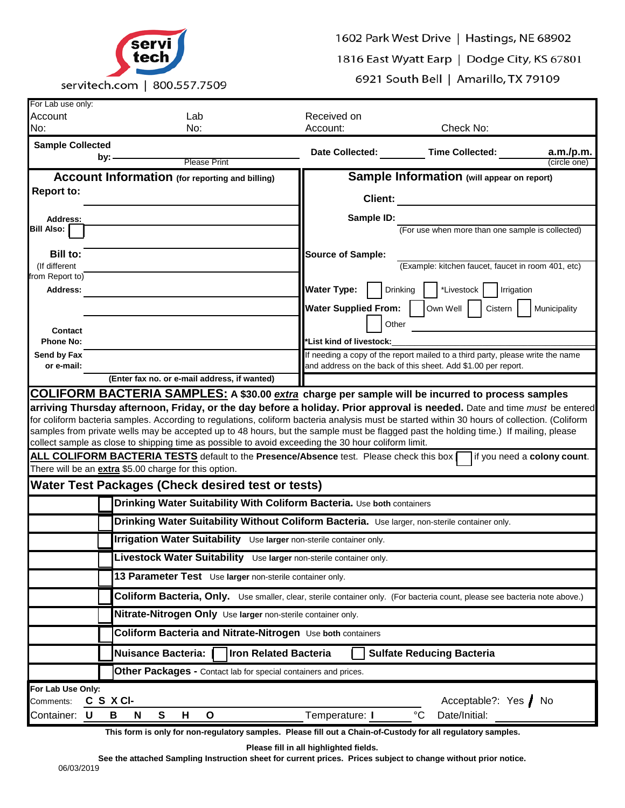

1602 Park West Drive | Hastings, NE 68902

1816 East Wyatt Earp | Dodge City, KS 67801

6921 South Bell | Amarillo, TX 79109

| For Lab use only:                                                                                                                                                                                                                                                                                                                                                                                                                                                                                                               |                                                                                               |                                                                                                                                                           |                                                                                                                                                 |                                                    |  |
|---------------------------------------------------------------------------------------------------------------------------------------------------------------------------------------------------------------------------------------------------------------------------------------------------------------------------------------------------------------------------------------------------------------------------------------------------------------------------------------------------------------------------------|-----------------------------------------------------------------------------------------------|-----------------------------------------------------------------------------------------------------------------------------------------------------------|-------------------------------------------------------------------------------------------------------------------------------------------------|----------------------------------------------------|--|
| Account                                                                                                                                                                                                                                                                                                                                                                                                                                                                                                                         |                                                                                               | Lab                                                                                                                                                       | Received on                                                                                                                                     |                                                    |  |
| No:                                                                                                                                                                                                                                                                                                                                                                                                                                                                                                                             |                                                                                               | No:                                                                                                                                                       | Account:                                                                                                                                        | Check No:                                          |  |
| <b>Sample Collected</b>                                                                                                                                                                                                                                                                                                                                                                                                                                                                                                         |                                                                                               |                                                                                                                                                           | <b>Date Collected:</b>                                                                                                                          | <b>Time Collected:</b><br>a.m./p.m.                |  |
|                                                                                                                                                                                                                                                                                                                                                                                                                                                                                                                                 | by:                                                                                           | <b>Please Print</b>                                                                                                                                       |                                                                                                                                                 | (circle one)                                       |  |
|                                                                                                                                                                                                                                                                                                                                                                                                                                                                                                                                 |                                                                                               | <b>Account Information</b> (for reporting and billing)                                                                                                    |                                                                                                                                                 | Sample Information (will appear on report)         |  |
| <b>Report to:</b>                                                                                                                                                                                                                                                                                                                                                                                                                                                                                                               |                                                                                               |                                                                                                                                                           |                                                                                                                                                 |                                                    |  |
|                                                                                                                                                                                                                                                                                                                                                                                                                                                                                                                                 |                                                                                               |                                                                                                                                                           | Client:                                                                                                                                         |                                                    |  |
| Address:                                                                                                                                                                                                                                                                                                                                                                                                                                                                                                                        |                                                                                               |                                                                                                                                                           | Sample ID:                                                                                                                                      |                                                    |  |
| Bill Also:                                                                                                                                                                                                                                                                                                                                                                                                                                                                                                                      |                                                                                               |                                                                                                                                                           |                                                                                                                                                 | (For use when more than one sample is collected)   |  |
|                                                                                                                                                                                                                                                                                                                                                                                                                                                                                                                                 |                                                                                               |                                                                                                                                                           |                                                                                                                                                 |                                                    |  |
| Bill to:<br>(If different                                                                                                                                                                                                                                                                                                                                                                                                                                                                                                       |                                                                                               |                                                                                                                                                           | <b>Source of Sample:</b>                                                                                                                        | (Example: kitchen faucet, faucet in room 401, etc) |  |
| from Report to)                                                                                                                                                                                                                                                                                                                                                                                                                                                                                                                 |                                                                                               |                                                                                                                                                           |                                                                                                                                                 |                                                    |  |
| Address:                                                                                                                                                                                                                                                                                                                                                                                                                                                                                                                        |                                                                                               |                                                                                                                                                           | <b>Water Type:</b>                                                                                                                              | *Livestock<br>Drinking<br>Irrigation               |  |
|                                                                                                                                                                                                                                                                                                                                                                                                                                                                                                                                 |                                                                                               |                                                                                                                                                           | <b>Water Supplied From:</b>                                                                                                                     | Own Well<br>Cistern<br>Municipality                |  |
|                                                                                                                                                                                                                                                                                                                                                                                                                                                                                                                                 |                                                                                               |                                                                                                                                                           | Other                                                                                                                                           |                                                    |  |
| Contact                                                                                                                                                                                                                                                                                                                                                                                                                                                                                                                         |                                                                                               |                                                                                                                                                           |                                                                                                                                                 |                                                    |  |
| <b>Phone No:</b>                                                                                                                                                                                                                                                                                                                                                                                                                                                                                                                |                                                                                               |                                                                                                                                                           | *List kind of livestock:                                                                                                                        |                                                    |  |
| Send by Fax<br>or e-mail:                                                                                                                                                                                                                                                                                                                                                                                                                                                                                                       |                                                                                               |                                                                                                                                                           | If needing a copy of the report mailed to a third party, please write the name<br>and address on the back of this sheet. Add \$1.00 per report. |                                                    |  |
|                                                                                                                                                                                                                                                                                                                                                                                                                                                                                                                                 |                                                                                               | (Enter fax no. or e-mail address, if wanted)                                                                                                              |                                                                                                                                                 |                                                    |  |
| COLIFORM BACTERIA SAMPLES: A \$30.00 extra charge per sample will be incurred to process samples                                                                                                                                                                                                                                                                                                                                                                                                                                |                                                                                               |                                                                                                                                                           |                                                                                                                                                 |                                                    |  |
| arriving Thursday afternoon, Friday, or the day before a holiday. Prior approval is needed. Date and time <i>must</i> be entered<br>for coliform bacteria samples. According to regulations, coliform bacteria analysis must be started within 30 hours of collection. (Coliform<br>samples from private wells may be accepted up to 48 hours, but the sample must be flagged past the holding time.) If mailing, please<br>collect sample as close to shipping time as possible to avoid exceeding the 30 hour coliform limit. |                                                                                               |                                                                                                                                                           |                                                                                                                                                 |                                                    |  |
|                                                                                                                                                                                                                                                                                                                                                                                                                                                                                                                                 |                                                                                               | ALL COLIFORM BACTERIA TESTS default to the Presence/Absence test. Please check this box [<br>There will be an <i>extra</i> \$5.00 charge for this option. |                                                                                                                                                 | if you need a colony count.                        |  |
| Water Test Packages (Check desired test or tests)                                                                                                                                                                                                                                                                                                                                                                                                                                                                               |                                                                                               |                                                                                                                                                           |                                                                                                                                                 |                                                    |  |
|                                                                                                                                                                                                                                                                                                                                                                                                                                                                                                                                 |                                                                                               | Drinking Water Suitability With Coliform Bacteria. Use both containers                                                                                    |                                                                                                                                                 |                                                    |  |
|                                                                                                                                                                                                                                                                                                                                                                                                                                                                                                                                 | Drinking Water Suitability Without Coliform Bacteria. Use larger, non-sterile container only. |                                                                                                                                                           |                                                                                                                                                 |                                                    |  |
|                                                                                                                                                                                                                                                                                                                                                                                                                                                                                                                                 |                                                                                               | Irrigation Water Suitability Use larger non-sterile container only.                                                                                       |                                                                                                                                                 |                                                    |  |
|                                                                                                                                                                                                                                                                                                                                                                                                                                                                                                                                 | Livestock Water Suitability Use larger non-sterile container only.                            |                                                                                                                                                           |                                                                                                                                                 |                                                    |  |
|                                                                                                                                                                                                                                                                                                                                                                                                                                                                                                                                 |                                                                                               | 13 Parameter Test Use larger non-sterile container only.                                                                                                  |                                                                                                                                                 |                                                    |  |
|                                                                                                                                                                                                                                                                                                                                                                                                                                                                                                                                 |                                                                                               | Coliform Bacteria, Only. Use smaller, clear, sterile container only. (For bacteria count, please see bacteria note above.)                                |                                                                                                                                                 |                                                    |  |
|                                                                                                                                                                                                                                                                                                                                                                                                                                                                                                                                 |                                                                                               | Nitrate-Nitrogen Only Use larger non-sterile container only.                                                                                              |                                                                                                                                                 |                                                    |  |
| Coliform Bacteria and Nitrate-Nitrogen Use both containers                                                                                                                                                                                                                                                                                                                                                                                                                                                                      |                                                                                               |                                                                                                                                                           |                                                                                                                                                 |                                                    |  |
|                                                                                                                                                                                                                                                                                                                                                                                                                                                                                                                                 | Nuisance Bacteria:  <br><b>Iron Related Bacteria</b><br><b>Sulfate Reducing Bacteria</b>      |                                                                                                                                                           |                                                                                                                                                 |                                                    |  |
|                                                                                                                                                                                                                                                                                                                                                                                                                                                                                                                                 |                                                                                               | Other Packages - Contact lab for special containers and prices.                                                                                           |                                                                                                                                                 |                                                    |  |
| For Lab Use Only:                                                                                                                                                                                                                                                                                                                                                                                                                                                                                                               |                                                                                               |                                                                                                                                                           |                                                                                                                                                 |                                                    |  |
| Comments:                                                                                                                                                                                                                                                                                                                                                                                                                                                                                                                       |                                                                                               | C S X CI-                                                                                                                                                 |                                                                                                                                                 | Acceptable?: Yes / No                              |  |
| Container: U                                                                                                                                                                                                                                                                                                                                                                                                                                                                                                                    |                                                                                               | S<br>B<br>N<br>н<br>O                                                                                                                                     | Temperature: I                                                                                                                                  | $^{\circ}C$<br>Date/Initial:                       |  |
|                                                                                                                                                                                                                                                                                                                                                                                                                                                                                                                                 |                                                                                               | This form is only for non-regulatory samples. Please fill out a Chain-of-Custody for all regulatory samples.                                              |                                                                                                                                                 |                                                    |  |

**Please fill in all highlighted fields.**

 06/03/2019 **See the attached Sampling Instruction sheet for current prices. Prices subject to change without prior notice.**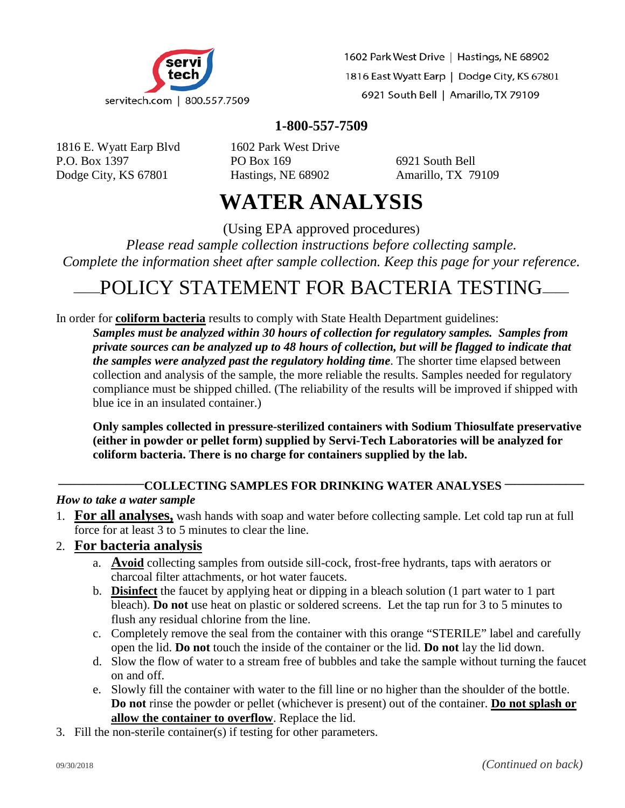

1602 Park West Drive | Hastings, NE 68902 1816 East Wyatt Earp | Dodge City, KS 67801 6921 South Bell | Amarillo, TX 79109

## **1-800-557-7509**

1816 E. Wyatt Earp Blvd 1602 Park West Drive P.O. Box 1397 **PO Box 169** 6921 South Bell Dodge City, KS 67801 Hastings, NE 68902 Amarillo, TX 79109

# **WATER ANALYSIS**

(Using EPA approved procedures)

*Please read sample collection instructions before collecting sample. Complete the information sheet after sample collection. Keep this page for your reference.*

## \_\_\_\_POLICY STATEMENT FOR BACTERIA TESTING\_\_\_\_

In order for **coliform bacteria** results to comply with State Health Department guidelines: *Samples must be analyzed within 30 hours of collection for regulatory samples. Samples from private sources can be analyzed up to 48 hours of collection, but will be flagged to indicate that the samples were analyzed past the regulatory holding time*. The shorter time elapsed between collection and analysis of the sample, the more reliable the results. Samples needed for regulatory compliance must be shipped chilled. (The reliability of the results will be improved if shipped with blue ice in an insulated container.)

**Only samples collected in pressure-sterilized containers with Sodium Thiosulfate preservative (either in powder or pellet form) supplied by Servi-Tech Laboratories will be analyzed for coliform bacteria. There is no charge for containers supplied by the lab.**

#### **\_\_\_\_\_\_\_\_\_\_\_\_\_\_COLLECTING SAMPLES FOR DRINKING WATER ANALYSES \_\_\_\_\_\_\_\_\_\_\_\_\_**

#### *How to take a water sample*

- 1. **For all analyses,** wash hands with soap and water before collecting sample. Let cold tap run at full force for at least 3 to 5 minutes to clear the line.
- 2. **For bacteria analysis**
	- a. **Avoid** collecting samples from outside sill-cock, frost-free hydrants, taps with aerators or charcoal filter attachments, or hot water faucets.
	- b. **Disinfect** the faucet by applying heat or dipping in a bleach solution (1 part water to 1 part bleach). **Do not** use heat on plastic or soldered screens. Let the tap run for 3 to 5 minutes to flush any residual chlorine from the line.
	- c. Completely remove the seal from the container with this orange "STERILE" label and carefully open the lid. **Do not** touch the inside of the container or the lid. **Do not** lay the lid down.
	- d. Slow the flow of water to a stream free of bubbles and take the sample without turning the faucet on and off.
	- e. Slowly fill the container with water to the fill line or no higher than the shoulder of the bottle. **Do not** rinse the powder or pellet (whichever is present) out of the container. **Do not splash or allow the container to overflow**. Replace the lid.
- 3. Fill the non-sterile container(s) if testing for other parameters.